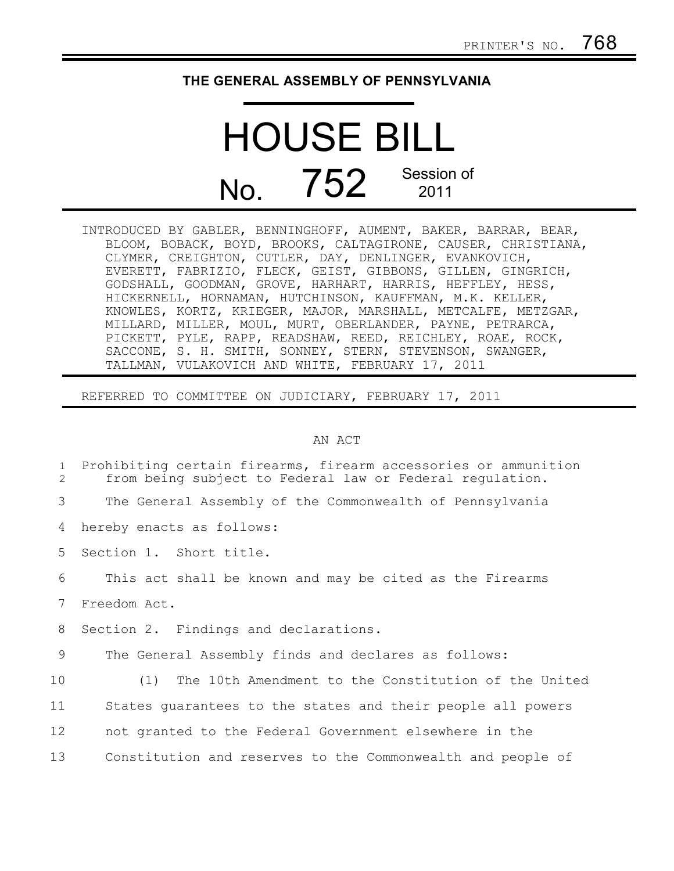## **THE GENERAL ASSEMBLY OF PENNSYLVANIA**

## HOUSE BILL No. 752 Session of 2011

INTRODUCED BY GABLER, BENNINGHOFF, AUMENT, BAKER, BARRAR, BEAR, BLOOM, BOBACK, BOYD, BROOKS, CALTAGIRONE, CAUSER, CHRISTIANA, CLYMER, CREIGHTON, CUTLER, DAY, DENLINGER, EVANKOVICH, EVERETT, FABRIZIO, FLECK, GEIST, GIBBONS, GILLEN, GINGRICH, GODSHALL, GOODMAN, GROVE, HARHART, HARRIS, HEFFLEY, HESS, HICKERNELL, HORNAMAN, HUTCHINSON, KAUFFMAN, M.K. KELLER, KNOWLES, KORTZ, KRIEGER, MAJOR, MARSHALL, METCALFE, METZGAR, MILLARD, MILLER, MOUL, MURT, OBERLANDER, PAYNE, PETRARCA, PICKETT, PYLE, RAPP, READSHAW, REED, REICHLEY, ROAE, ROCK, SACCONE, S. H. SMITH, SONNEY, STERN, STEVENSON, SWANGER, TALLMAN, VULAKOVICH AND WHITE, FEBRUARY 17, 2011

REFERRED TO COMMITTEE ON JUDICIARY, FEBRUARY 17, 2011

## AN ACT

| $\mathbf{1}$<br>$\mathcal{L}$ | Prohibiting certain firearms, firearm accessories or ammunition<br>from being subject to Federal law or Federal regulation. |
|-------------------------------|-----------------------------------------------------------------------------------------------------------------------------|
| 3                             | The General Assembly of the Commonwealth of Pennsylvania                                                                    |
| 4                             | hereby enacts as follows:                                                                                                   |
| 5                             | Section 1. Short title.                                                                                                     |
| 6                             | This act shall be known and may be cited as the Firearms                                                                    |
| 7                             | Freedom Act.                                                                                                                |
| 8                             | Section 2. Findings and declarations.                                                                                       |
| 9                             | The General Assembly finds and declares as follows:                                                                         |
| 10                            | (1) The 10th Amendment to the Constitution of the United                                                                    |
| 11                            | States quarantees to the states and their people all powers                                                                 |
| 12                            | not granted to the Federal Government elsewhere in the                                                                      |
| 13                            | Constitution and reserves to the Commonwealth and people of                                                                 |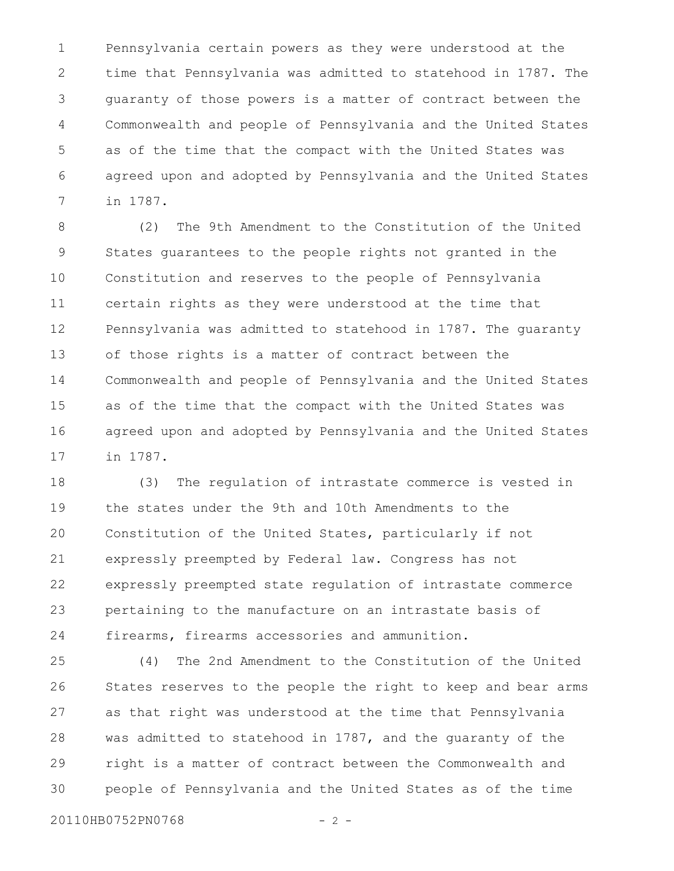Pennsylvania certain powers as they were understood at the time that Pennsylvania was admitted to statehood in 1787. The guaranty of those powers is a matter of contract between the Commonwealth and people of Pennsylvania and the United States as of the time that the compact with the United States was agreed upon and adopted by Pennsylvania and the United States in 1787. 1 2 3 4 5 6 7

(2) The 9th Amendment to the Constitution of the United States guarantees to the people rights not granted in the Constitution and reserves to the people of Pennsylvania certain rights as they were understood at the time that Pennsylvania was admitted to statehood in 1787. The guaranty of those rights is a matter of contract between the Commonwealth and people of Pennsylvania and the United States as of the time that the compact with the United States was agreed upon and adopted by Pennsylvania and the United States in 1787. 8 9 10 11 12 13 14 15 16 17

(3) The regulation of intrastate commerce is vested in the states under the 9th and 10th Amendments to the Constitution of the United States, particularly if not expressly preempted by Federal law. Congress has not expressly preempted state regulation of intrastate commerce pertaining to the manufacture on an intrastate basis of firearms, firearms accessories and ammunition. 18 19 20 21 22 23 24

(4) The 2nd Amendment to the Constitution of the United States reserves to the people the right to keep and bear arms as that right was understood at the time that Pennsylvania was admitted to statehood in 1787, and the guaranty of the right is a matter of contract between the Commonwealth and people of Pennsylvania and the United States as of the time 25 26 27 28 29 30

20110HB0752PN0768 - 2 -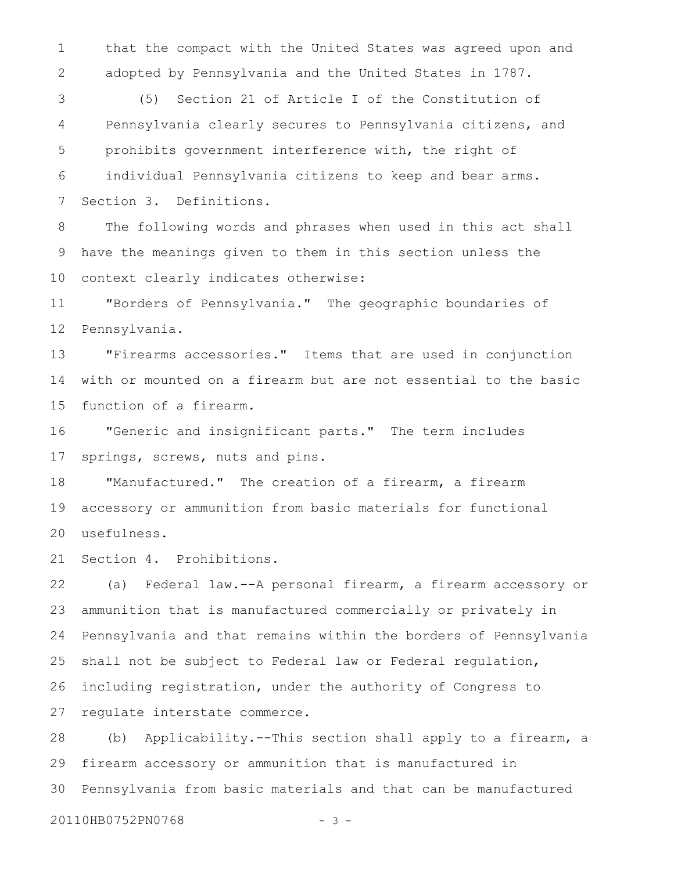that the compact with the United States was agreed upon and adopted by Pennsylvania and the United States in 1787. 1 2

(5) Section 21 of Article I of the Constitution of Pennsylvania clearly secures to Pennsylvania citizens, and prohibits government interference with, the right of individual Pennsylvania citizens to keep and bear arms. Section 3. Definitions. 3 4 5 6 7

The following words and phrases when used in this act shall have the meanings given to them in this section unless the context clearly indicates otherwise: 8 9 10

"Borders of Pennsylvania." The geographic boundaries of Pennsylvania. 11 12

"Firearms accessories." Items that are used in conjunction with or mounted on a firearm but are not essential to the basic function of a firearm. 13 14 15

"Generic and insignificant parts." The term includes springs, screws, nuts and pins. 16 17

"Manufactured." The creation of a firearm, a firearm accessory or ammunition from basic materials for functional usefulness. 18 19 20

Section 4. Prohibitions. 21

(a) Federal law.--A personal firearm, a firearm accessory or ammunition that is manufactured commercially or privately in Pennsylvania and that remains within the borders of Pennsylvania shall not be subject to Federal law or Federal regulation, including registration, under the authority of Congress to regulate interstate commerce. 22 23 24 25 26 27

(b) Applicability.--This section shall apply to a firearm, a firearm accessory or ammunition that is manufactured in Pennsylvania from basic materials and that can be manufactured 28 29 30

20110HB0752PN0768 - 3 -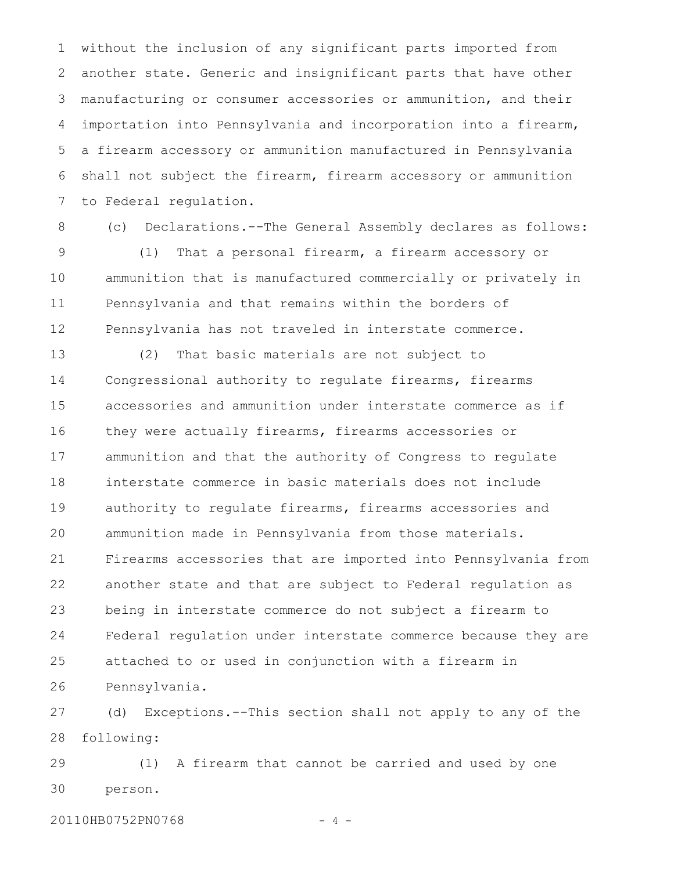without the inclusion of any significant parts imported from another state. Generic and insignificant parts that have other manufacturing or consumer accessories or ammunition, and their importation into Pennsylvania and incorporation into a firearm, a firearm accessory or ammunition manufactured in Pennsylvania shall not subject the firearm, firearm accessory or ammunition to Federal regulation. 1 2 3 4 5 6 7

8

(c) Declarations.--The General Assembly declares as follows: (1) That a personal firearm, a firearm accessory or ammunition that is manufactured commercially or privately in Pennsylvania and that remains within the borders of Pennsylvania has not traveled in interstate commerce. 9 10 11 12

(2) That basic materials are not subject to Congressional authority to regulate firearms, firearms accessories and ammunition under interstate commerce as if they were actually firearms, firearms accessories or ammunition and that the authority of Congress to regulate interstate commerce in basic materials does not include authority to regulate firearms, firearms accessories and ammunition made in Pennsylvania from those materials. Firearms accessories that are imported into Pennsylvania from another state and that are subject to Federal regulation as being in interstate commerce do not subject a firearm to Federal regulation under interstate commerce because they are attached to or used in conjunction with a firearm in Pennsylvania. 13 14 15 16 17 18 19 20 21 22 23 24 25 26

(d) Exceptions.--This section shall not apply to any of the following: 27 28

(1) A firearm that cannot be carried and used by one person. 29 30

20110HB0752PN0768 - 4 -